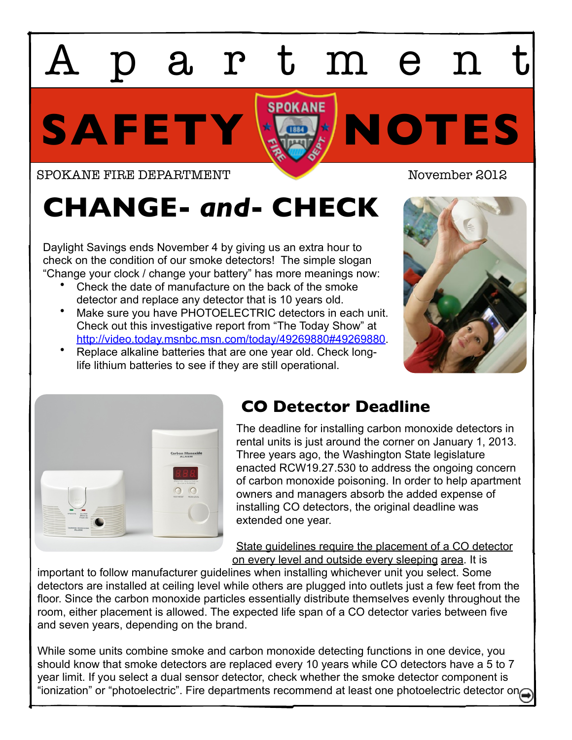## SAFETY **X** Apartment

SPOKANE FIRE DEPARTMENT November 2012

## **CHANGE-** *and***- CHECK**

Daylight Savings ends November 4 by giving us an extra hour to check on the condition of our smoke detectors! The simple slogan "Change your clock / change your battery" has more meanings now:

- Check the date of manufacture on the back of the smoke detector and replace any detector that is 10 years old.
- Make sure you have PHOTOELECTRIC detectors in each unit. Check out this investigative report from "The Today Show" at [http://video.today.msnbc.msn.com/today/49269880#49269880.](http://video.today.msnbc.msn.com/today/49269880#49269880)
- Replace alkaline batteries that are one year old. Check longlife lithium batteries to see if they are still operational.





## **CO Detector Deadline**

The deadline for installing carbon monoxide detectors in rental units is just around the corner on January 1, 2013. Three years ago, the Washington State legislature enacted RCW19.27.530 to address the ongoing concern of carbon monoxide poisoning. In order to help apartment owners and managers absorb the added expense of installing CO detectors, the original deadline was extended one year.

State guidelines require the placement of a CO detector on every level and outside every sleeping area. It is

important to follow manufacturer guidelines when installing whichever unit you select. Some detectors are installed at ceiling level while others are plugged into outlets just a few feet from the floor. Since the carbon monoxide particles essentially distribute themselves evenly throughout the room, either placement is allowed. The expected life span of a CO detector varies between five and seven years, depending on the brand.

While some units combine smoke and carbon monoxide detecting functions in one device, you should know that smoke detectors are replaced every 10 years while CO detectors have a 5 to 7 year limit. If you select a dual sensor detector, check whether the smoke detector component is "ionization" or "photoelectric". Fire departments recommend at least one photoelectric detector on